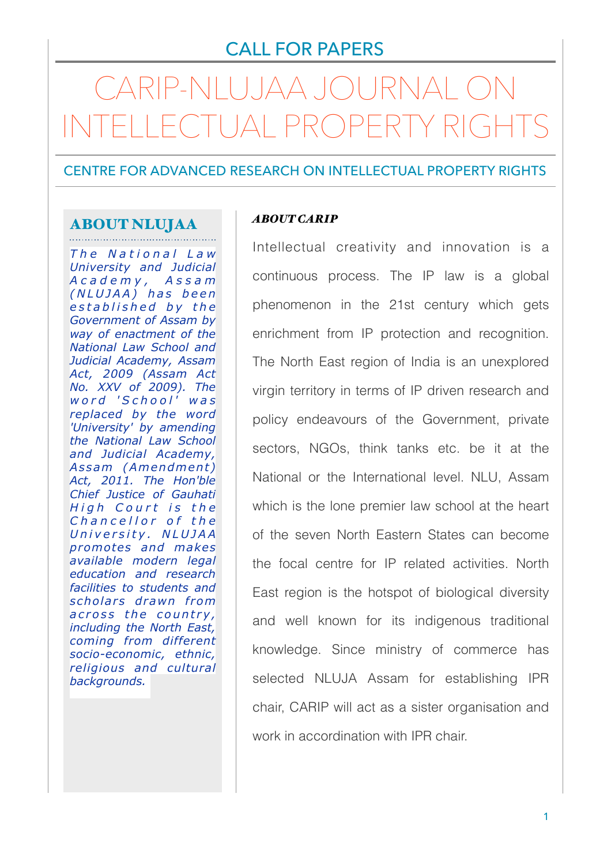## CALL FOR PAPERS

# CARIP-NLUJAA JOURNAL ON INTELLECTUAL PROPERTY RIGHTS

CENTRE FOR ADVANCED RESEARCH ON INTELLECTUAL PROPERTY RIGHTS

#### ABOUT NLUJAA

*T h e N a t i o n a l L a w University and Judicial A c a d e m y , A s s a m ( N L U J A A ) h a s b e e n e s t a b l i s h e d b y t h e Government of Assam by way of enactment of the National Law School and Judicial Academy, Assam Act, 2009 (Assam Act No. XXV of 2009). The w o r d ' S c h o o l ' w a s replaced by the word 'University' by amending the National Law School and Judicial Academy, A s sam (Am endm en t ) Act, 2011. The Hon'ble Chief Justice of Gauhati High Court is the Chancellor of the U n i v e r s i t y . N L U J A A promotes and makes available modern legal education and research facilities to students and*  scholars drawn from across the country, *including the North East, coming from different socio-economic, ethnic, religious and cultural backgrounds.* 

#### *ABOUT CARIP*

Intellectual creativity and innovation is a continuous process. The IP law is a global phenomenon in the 21st century which gets enrichment from IP protection and recognition. The North East region of India is an unexplored virgin territory in terms of IP driven research and policy endeavours of the Government, private sectors, NGOs, think tanks etc. be it at the National or the International level. NLU, Assam which is the lone premier law school at the heart of the seven North Eastern States can become the focal centre for IP related activities. North East region is the hotspot of biological diversity and well known for its indigenous traditional knowledge. Since ministry of commerce has selected NLUJA Assam for establishing IPR chair, CARIP will act as a sister organisation and work in accordination with IPR chair.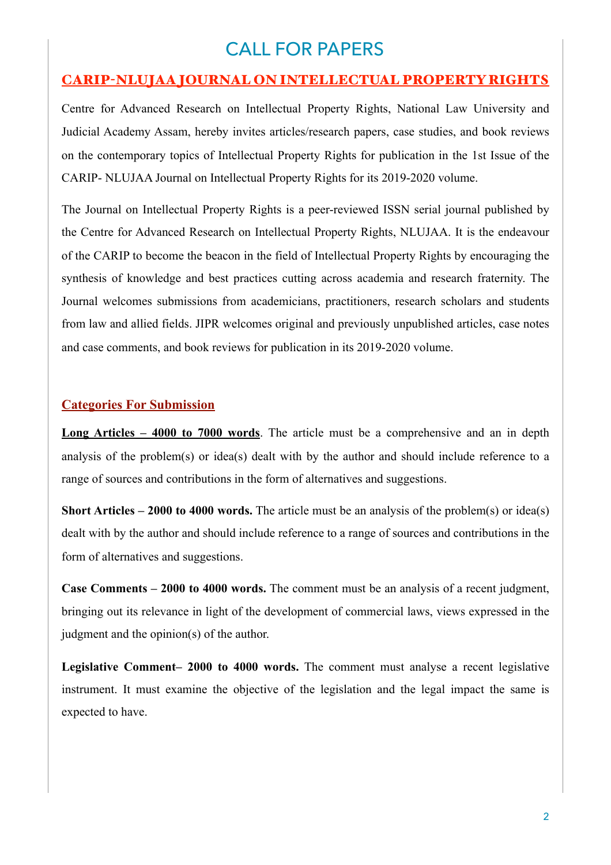# CALL FOR PAPERS

## CARIP-NLUJAA JOURNAL ON INTELLECTUAL PROPERTY RIGHTS

Centre for Advanced Research on Intellectual Property Rights, National Law University and Judicial Academy Assam, hereby invites articles/research papers, case studies, and book reviews on the contemporary topics of Intellectual Property Rights for publication in the 1st Issue of the CARIP- NLUJAA Journal on Intellectual Property Rights for its 2019-2020 volume.

The Journal on Intellectual Property Rights is a peer-reviewed ISSN serial journal published by the Centre for Advanced Research on Intellectual Property Rights, NLUJAA. It is the endeavour of the CARIP to become the beacon in the field of Intellectual Property Rights by encouraging the synthesis of knowledge and best practices cutting across academia and research fraternity. The Journal welcomes submissions from academicians, practitioners, research scholars and students from law and allied fields. JIPR welcomes original and previously unpublished articles, case notes and case comments, and book reviews for publication in its 2019-2020 volume.

#### **Categories For Submission**

**Long Articles – 4000 to 7000 words**. The article must be a comprehensive and an in depth analysis of the problem(s) or idea(s) dealt with by the author and should include reference to a range of sources and contributions in the form of alternatives and suggestions.

**Short Articles – 2000 to 4000 words.** The article must be an analysis of the problem(s) or idea(s) dealt with by the author and should include reference to a range of sources and contributions in the form of alternatives and suggestions.

**Case Comments – 2000 to 4000 words.** The comment must be an analysis of a recent judgment, bringing out its relevance in light of the development of commercial laws, views expressed in the judgment and the opinion(s) of the author.

**Legislative Comment– 2000 to 4000 words.** The comment must analyse a recent legislative instrument. It must examine the objective of the legislation and the legal impact the same is expected to have.